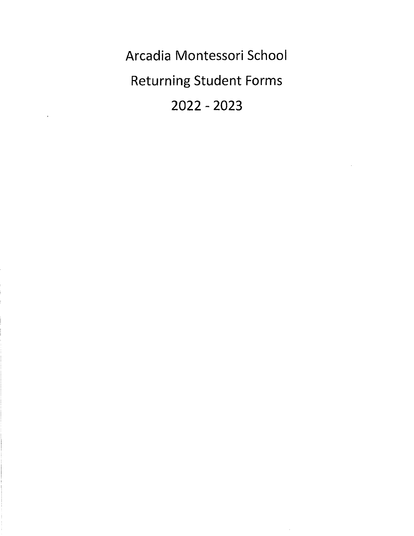Arcadia Montessori School Returning Student Forms 2022 - 2023

 $\hat{\boldsymbol{\beta}}$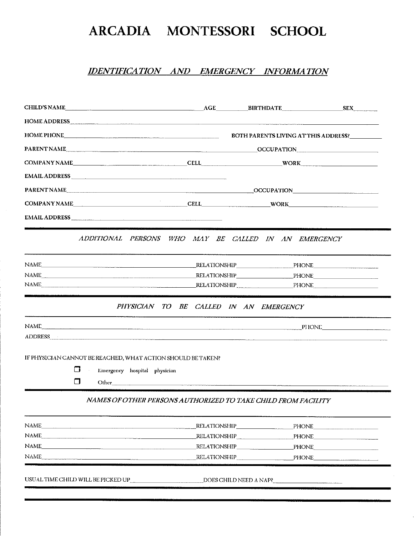### IDENTIFICATION AND EMERGENCY INFORMATION

|        | HOME ADDRESS PORT AND A CONTROL CONTROL CONTROL CONTROL CONTROL CONTROL CONTROL CONTROL CONTROL CONTROL CONTROL CONTROL CONTROL CONTROL CONTROL CONTROL CONTROL CONTROL CONTROL CONTROL CONTROL CONTROL CONTROL CONTROL CONTRO                       |                                        |                                                                                                                  |                                               |  |
|--------|------------------------------------------------------------------------------------------------------------------------------------------------------------------------------------------------------------------------------------------------------|----------------------------------------|------------------------------------------------------------------------------------------------------------------|-----------------------------------------------|--|
|        |                                                                                                                                                                                                                                                      |                                        |                                                                                                                  | BOTH PARENTS LIVING AT THIS ADDRESS?_________ |  |
|        |                                                                                                                                                                                                                                                      |                                        |                                                                                                                  |                                               |  |
|        | COMPANY NAME COMPANY NAME CELL CELL CELL WORK                                                                                                                                                                                                        |                                        |                                                                                                                  |                                               |  |
|        | EMAIL ADDRESS Particular and the contract of the contract of the contract of the contract of the contract of the contract of the contract of the contract of the contract of the contract of the contract of the contract of t                       |                                        |                                                                                                                  |                                               |  |
|        | PARENT NAME                                                                                                                                                                                                                                          |                                        |                                                                                                                  |                                               |  |
|        | COMPANY NAME COMPANY NAME CELL CELL WORK WORK                                                                                                                                                                                                        |                                        |                                                                                                                  |                                               |  |
|        |                                                                                                                                                                                                                                                      |                                        |                                                                                                                  |                                               |  |
|        | ADDITIONAL PERSONS WHO MAY BE CALLED IN AN EMERGENCY                                                                                                                                                                                                 |                                        |                                                                                                                  |                                               |  |
|        |                                                                                                                                                                                                                                                      |                                        |                                                                                                                  |                                               |  |
|        |                                                                                                                                                                                                                                                      |                                        |                                                                                                                  |                                               |  |
|        | NAME PHONE PHONE                                                                                                                                                                                                                                     |                                        |                                                                                                                  |                                               |  |
|        |                                                                                                                                                                                                                                                      | PHYSICIAN TO BE CALLED IN AN EMERGENCY |                                                                                                                  |                                               |  |
|        | NAME PIIONE PIIONE<br>ADDRESS CONTINUES AND ALL CONTINUES AND ALL CONTINUES AND ALL CONTINUES AND ALL CONTINUES AND ALL CONTINUES AND ALL CONTINUES AND ALL CONTINUES AND ALL CONTINUES AND ALL CONTINUES AND ALL CONTINUES AND ALL CONTINUES AND AL |                                        |                                                                                                                  |                                               |  |
|        | IF PHYSICIAN CANNOT BE REACHED, WHAT ACTION SHOULD BE TAKEN?                                                                                                                                                                                         |                                        |                                                                                                                  |                                               |  |
| П      | Emergency hospital physician<br>$\sim$                                                                                                                                                                                                               |                                        |                                                                                                                  |                                               |  |
| $\Box$ |                                                                                                                                                                                                                                                      |                                        |                                                                                                                  |                                               |  |
|        | NAMES OF OTHER PERSONS AUTHORIZED TO TAKE CHILD FROM FACILITY                                                                                                                                                                                        |                                        |                                                                                                                  |                                               |  |
|        |                                                                                                                                                                                                                                                      |                                        |                                                                                                                  |                                               |  |
| NAME   |                                                                                                                                                                                                                                                      |                                        |                                                                                                                  |                                               |  |
| NAME   | <u>and the contract of the contract of the contract of the contract of the contract of the contract of the contract of the contract of the contract of the contract of the contract of the contract of the contract of the contr</u>                 | _RELATIONSHIP_                         | and the company of the company of the company of the company of the company of the company of the company of the | PHONE                                         |  |

USUAL TIME CHILD WILL BE PICKED UP DOES CHILD NEED A NAP?

NAME PHONE PHONE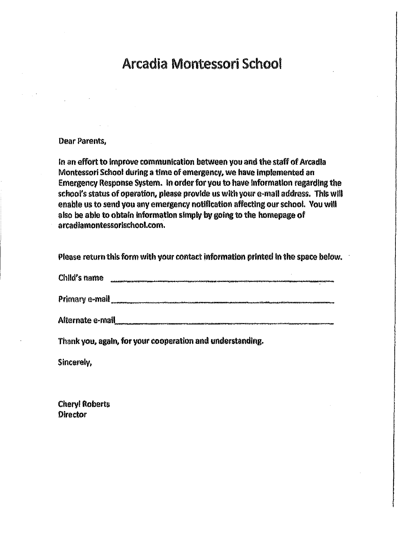# Arcadia Montessori School

#### Dear Parents,

In an effort to improve communication between you and the staff of Arcadia Montessori School during a time of emergency, we have implemented an Emergency Response System. In order for you to have Information regarding the school's status of operation, please provide us with your e-mail address. This will enable us to send you any emergency notification affecting our school. You will also be able to obtain information simply by going to the homepage of arcadiamontessorischool.com.

Please return this form with your contact information printed in the space below.

Child's name

Primary e-mail **contract and a structure of the structure of the structure of the structure of the structure of the structure of the structure of the structure of the structure of the structure of the structure of the stru** 

Alternate e-mall

Thank you, again, for your cooperation and understanding.

Sincerely,

Cheryl Roberts **Director**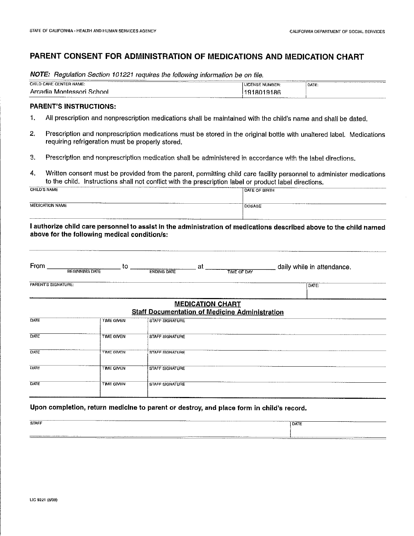### PARENT CONSENT FOR ADMINISTRATION OF MEDICATIONS AND MEDICATION CHART

NOTE: Regulation Section 101221 requires the following information be on file.

| CHILD CARE CENTER NAME:<br><b>LICENSE NUMBER</b><br>'DATE:<br>Arcadia Montessori.<br>1918019186<br>™choo∟                                                                                                                                                               | <b>CONTRACTOR</b> CONTRACTOR<br><br><b>The Commission Commission Commission</b><br>________<br>____ |      |
|-------------------------------------------------------------------------------------------------------------------------------------------------------------------------------------------------------------------------------------------------------------------------|-----------------------------------------------------------------------------------------------------|------|
|                                                                                                                                                                                                                                                                         |                                                                                                     |      |
| The program construction of the<br><b>The Company's Company's Company's Company's Company's Company's Company's Company's Company's Company's Company's Company's Company's Company's Company's Company's Company's Company's Company's Company's Company's Company</b> | ___________                                                                                         | ____ |

#### PARENT'S INSTRUCTIONS:

- 1. All prescription and nonprescription medications shall be maintained with the child's name and shall be dated.
- 2. Prescription and nonprescription medications must be stored in the original bottle with unaltered label. Medications requiring refrigeration must be properly stored.
- 3. Prescription and nonprescription medication shall be administered in accordance with the label directions.
- 4. Written consent must be provided from the parent, permitting child care facility personnel to administer medications to the child. Instructions shall not conflict with the prescription label or product label directions.

| <b>CHILD'S NAME</b>                     | <b>DATE OF BIRTH</b>                |
|-----------------------------------------|-------------------------------------|
|                                         | www.community.com/www.community.com |
| ___________                             |                                     |
| The continues of concerns and companies |                                     |
| <b>MEDICATION NAME</b>                  | DOSAGE                              |

I authorize child care personnel to assist in the administration of medications described above to the child named above for the following medical condition/s:

| From                | to<br><b>BEGINNING DATE</b> | at<br><b>ENDING DATE</b> | daily while in attendance.<br><b>TIME OF DAY</b>                                 |
|---------------------|-----------------------------|--------------------------|----------------------------------------------------------------------------------|
| PARENT'S SIGNATURE: |                             |                          | DATE:                                                                            |
|                     |                             |                          | <b>MEDICATION CHART</b><br><b>Staff Documentation of Medicine Administration</b> |
| DATE                | <b>TIME GIVEN</b>           | <b>STAFF SIGNATURE</b>   |                                                                                  |
| DATE                | <b>TIME GIVEN</b>           | STAFF SIGNATURE          |                                                                                  |
| DATE                | <b>TIME GIVEN</b>           | <b>STAFF SIGNATURE</b>   |                                                                                  |
| DATE                | <b>TIME GIVEN</b>           | <b>STAFF SIGNATURE</b>   |                                                                                  |
| DATE                | <b>TIME GIVEN</b>           | <b>STAFF SIGNATURE</b>   |                                                                                  |

#### Upon completion, return medicine to parent or destroy, and place form in child's record.

| <b>CONTINUES OF A STATE OF A</b><br>The company of the property contained and company<br>_______<br><b>PERSONAL PROPERTY AND INCOME.</b><br><b>The contract of the contract of the contract of the contract of the contract of the contract of the contract of the contract of the contract of the contract of the contract of the contract of the contract of the contract </b><br><b>STAFF</b>                                                                                                                                                                                                                                                                                                                             | <b>The company of the company's company's company's company's company's company's company's company's company's</b><br><b>DATE</b> |
|------------------------------------------------------------------------------------------------------------------------------------------------------------------------------------------------------------------------------------------------------------------------------------------------------------------------------------------------------------------------------------------------------------------------------------------------------------------------------------------------------------------------------------------------------------------------------------------------------------------------------------------------------------------------------------------------------------------------------|------------------------------------------------------------------------------------------------------------------------------------|
|                                                                                                                                                                                                                                                                                                                                                                                                                                                                                                                                                                                                                                                                                                                              |                                                                                                                                    |
| <b>The property and the company's and the property of the company's company's and the company's company's and the company's company's company's company's company's company's company's company's company's company's company's </b><br>$\begin{tabular}{cccccccccc} \multicolumn{1}{l}{} & \multicolumn{1}{l}{} & \multicolumn{1}{l}{} & \multicolumn{1}{l}{} & \multicolumn{1}{l}{} & \multicolumn{1}{l}{} & \multicolumn{1}{l}{} & \multicolumn{1}{l}{} & \multicolumn{1}{l}{} & \multicolumn{1}{l}{} & \multicolumn{1}{l}{} & \multicolumn{1}{l}{} & \multicolumn{1}{l}{} & \multicolumn{1}{l}{} & \multicolumn{1}{l}{} & \multicolumn{1}{l}{} & \multicolumn{1}{l}{} & \multicolumn{1}{l}{} & \multicolumn{1}{l}{} & \$ |                                                                                                                                    |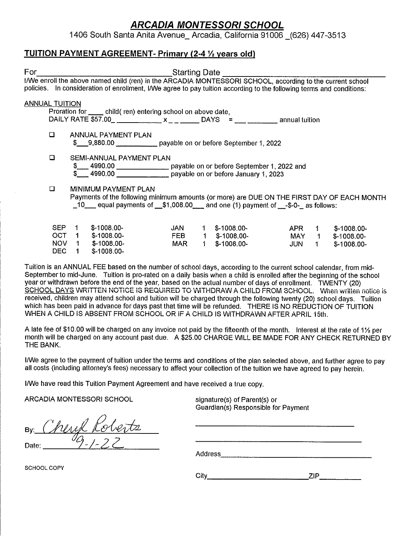1406 South Santa Anita Avenue\_ Arcadia, California 91006 \_(626) 447-3513

### TUITION PAYMENT AGREEMENT- Primary (2-4 % years old)

| For                   |            |                | <b>Example 2016</b> Starting Date                                                                                                                                                                                                 |     |    |                 |       |       |              |
|-----------------------|------------|----------------|-----------------------------------------------------------------------------------------------------------------------------------------------------------------------------------------------------------------------------------|-----|----|-----------------|-------|-------|--------------|
|                       |            |                | I/We enroll the above named child (ren) in the ARCADIA MONTESSORI SCHOOL, according to the current school<br>policies. In consideration of enrollment, I/We agree to pay tuition according to the following terms and conditions: |     |    |                 |       |       |              |
| <b>ANNUAL TUITION</b> |            |                |                                                                                                                                                                                                                                   |     |    |                 |       |       |              |
|                       |            |                | Proration for ______ child (ren) entering school on above date,                                                                                                                                                                   |     |    |                 |       |       |              |
|                       |            |                | DAILY RATE \$57.00 ________________ x _ _ _________ DAYS = _______________________ annual tuition                                                                                                                                 |     |    |                 |       |       |              |
|                       | $\Box$     |                | ANNUAL PAYMENT PLAN<br>\$ 9,880.00    payable on or before September 1, 2022                                                                                                                                                      |     |    |                 |       |       |              |
|                       | O          |                | SEMI-ANNUAL PAYMENT PLAN                                                                                                                                                                                                          |     |    |                 |       |       |              |
|                       |            |                | \$4990.00 payable on or before September 1, 2022 and                                                                                                                                                                              |     |    |                 |       |       |              |
|                       |            |                | 4990.00 payable on or before January 1, 2023                                                                                                                                                                                      |     |    |                 |       |       |              |
|                       | $\Box$     |                | MINIMUM PAYMENT PLAN                                                                                                                                                                                                              |     |    |                 |       |       |              |
|                       |            |                | Payments of the following minimum amounts (or more) are DUE ON THE FIRST DAY OF EACH MONTH                                                                                                                                        |     |    |                 |       |       |              |
|                       |            |                | $\_10$ equal payments of $\_ $1,008.00$ and one (1) payment of $\_ $-0-$ as follows:                                                                                                                                              |     |    |                 |       |       |              |
|                       |            |                |                                                                                                                                                                                                                                   |     |    |                 |       |       |              |
|                       | <b>SEP</b> | $\overline{1}$ | $$-1008.00-$                                                                                                                                                                                                                      | JAN | 1  | $$-1008.00-$    | APR   | $1 -$ | $$-1008.00-$ |
|                       | OCT.       | $\mathbf 1$    | $$-1008.00-$                                                                                                                                                                                                                      | FEB |    | $1$ \$-1008.00- | MAY 1 |       | $$-1008.00-$ |
|                       | NOV.       | $1 \quad$      | $$-1008.00-$                                                                                                                                                                                                                      | MAR | 1. | $$-1008.00-$    | JUN   | $1 -$ | $$-1008.00-$ |
|                       | DEC.       | 1.             | $$-1008.00-$                                                                                                                                                                                                                      |     |    |                 |       |       |              |

Tuition is an ANNUAL FEE based on the number of school days, according to the current school calendar, from mid-September to mid-June. Tuition is pro-rated on a daily basis when a child is enrolled after the beginning of the school year or withdrawn before the end of the year, based on the actual number of days of enrollment. TWENTY (20) SCHOOL DAYS WRITTEN NOTICE IS REQUIRED TO WITHDRAW A CHILD FROM SCHOOL. When written notice is received, children may attend school and tuition will be charged through the following twenty (20) school days. Tuition which has been paid in advance for days past that time will be refunded. THERE IS NO REDUCTION OF TUITION WHEN A CHILD IS ABSENT FROM SCHOOL OR IF A CHILD IS WITHDRAWN AFTER APRIL 15th.

A late fee of \$10.00 will be charged on any invoice not paid by the fifteenth of the month. Interest at the rate of 1% per month will be charged on any account past due. A \$25.00 CHARGE WILL BE MADE FOR ANY CHECK RETURNED BY THE BANK.

INVe agree to the payment of tuition under the terms and conditions of the plan selected above, and further agree to pay all costs (including attorney's fees) necessary to affect your collection of the tuition we have agreed to pay herein.

INVe have read this Tuition Payment Agreement and have received a true copy.

ARCADIA MONTESSORI SCHOOL signature(s) of Parent(s) or

Guardian(s) Responsible for Payment

<u>und Koberts</u> Date: 99-/-2

Address

SCHOOL COPY

City ZIP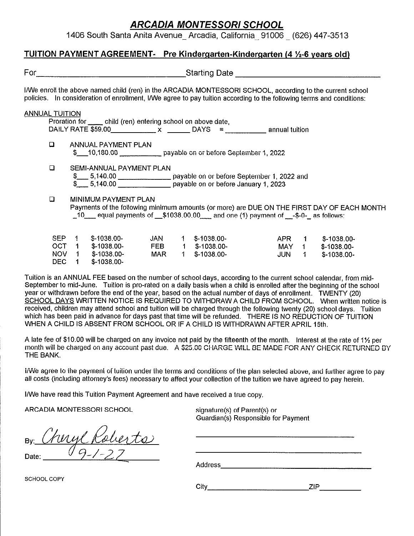1406 South Santa Anita Avenue\_ Arcadia, California\_ 91006 \_ (626) 447-3513

### TUITION PAYMENT AGREEMENT- Pre Kindergarten-Kindergarten (4 %-6 years old)

| For                   |                                                                                                                      |                                | Starting Date <b>Starting</b>                                                                                                                                                                                                     |                                                      |                                             |
|-----------------------|----------------------------------------------------------------------------------------------------------------------|--------------------------------|-----------------------------------------------------------------------------------------------------------------------------------------------------------------------------------------------------------------------------------|------------------------------------------------------|---------------------------------------------|
|                       |                                                                                                                      |                                | I/We enroll the above named child (ren) in the ARCADIA MONTESSORI SCHOOL, according to the current school<br>policies. In consideration of enrollment, I/We agree to pay tuition according to the following terms and conditions: |                                                      |                                             |
| <b>ANNUAL TUITION</b> | Proration for ______ child (ren) entering school on above date,                                                      |                                |                                                                                                                                                                                                                                   |                                                      |                                             |
| $\Box$                | ANNUAL PAYMENT PLAN                                                                                                  |                                | \$ 10,180.00 payable on or before September 1, 2022                                                                                                                                                                               |                                                      |                                             |
| $\Box$                | SEMI-ANNUAL PAYMENT PLAN                                                                                             |                                | \$6.6.140.00 payable on or before September 1, 2022 and \$6.5.140.00 contract payable on or before January 1, 2023                                                                                                                |                                                      |                                             |
| $\Box$                | MINIMUM PAYMENT PLAN                                                                                                 |                                | Payments of the following minimum amounts (or more) are DUE ON THE FIRST DAY OF EACH MONTH<br>_10 equal payments of _\$1038.00.00 and one (1) payment of _-\$-0-_ as follows:                                                     |                                                      |                                             |
| SEP<br>DEC.           | $$-1038.00-$<br>$\mathbf{1}$<br>OCT 1<br>$$-1038.00-$<br>NOV <sub>1</sub><br>\$-1038.00-<br>$$-1038.00-$<br>$\sim$ 1 | <b>JAN</b><br>FEB<br>MAR<br>1. | $1$ \$-1038.00-<br>$1$ \$-1038.00-<br>$$-1038.00-$                                                                                                                                                                                | APR<br>$1 -$<br>MAY 1<br>$\blacktriangleleft$<br>JUN | $$-1038.00-$<br>\$-1038.00-<br>$$-1038.00-$ |

Tuition is an ANNUAL FEE based on the number of school days, according to the current school calendar, from mid-September to mid-June. Tuition is pro-rated on a daily basis when a child is enrolled after the beginning of the school year or withdrawn before the end of the year, based on the actual number of days of enrollment. TWENTY (20) SCHOOL DAYS WRITTEN NOTICE IS REQUIRED TO WITHDRAW A CHILD FROM SCHOOL. When written notice is received, children may attend school and tuition will be charged through the following twenty (20) school days. Tuition which has been paid in advance for days past that time will be refunded. THERE IS NO REDUCTION OF TUITION WHEN A CHILD IS ABSENT FROM SCHOOL OR IF A CHILD IS WITHDRAWN AFTER APRIL 15th.

A late fee of \$10.00 will be charged on any invoice not paid by the fifteenth of the month. Interest at the rate of 1% per month will be charged on any account past due. A \$25.00 CHARGE WILL BE MADE FOR ANY CHECK RETURNED BY THE BANK.

I/We agree to the payment of tuition under the terms and conditions of the plan selected above, and further agree to pay all costs (including attorney's fees) necessary to affect your collection of the tuition we have agreed to pay herein.

I/We have read this Tuition Payment Agreement and have received a true copy.

ARCADIA MONTESSORI SCHOOL signature(s) of Parent(s) or

Guardian(s) Responsible for Payment

mylkoberts Date:

Address

SCHOOL COPY

City ZIP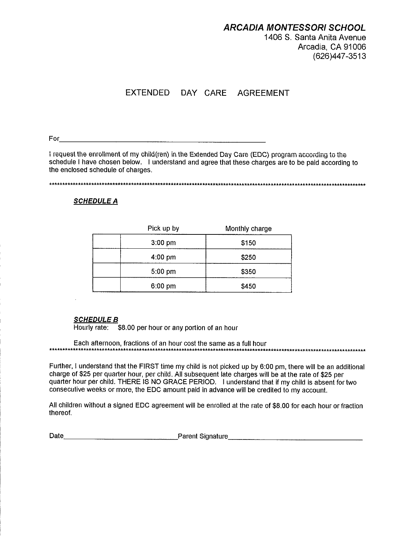1406 S. Santa Anita Avenue Arcadia, CA 91006 (626)447-3513

## EXTENDED DAY CARE AGREEMENT

For

I request the enrollment of my child(ren) in the Extended Day Care (EDC) program according to the schedule I have chosen below. I understand and agree that these charges are to be paid according to the enclosed schedule of charges.

\*\*\*\*\*\*\*\*\*\*\*\*\*\*\*\*\*\*\*\*\*\*\*\*\*\*\*\*\*\*\*\*\*\*\*\*\*\*\*\*\*\*\*\*\*\*\*\*\*\*\*\*\*\*\*\*\*\*\*\*\*\*\*\*\*\*\*\*\*\*\*\*\*\*\*\*\*\*\*\*\*\*\*\*\*\*\*\*\*\*\*\*\*\*\*\*\*\*\*\*\*\*\*\*\*\*\*\*\*\*\*\*\*\*\*\*\*\*\*\*

#### **SCHEDULE A**

| Pick up by        | Monthly charge |
|-------------------|----------------|
| $3:00 \text{ pm}$ | \$150          |
| $4:00 \text{ pm}$ | \$250          |
| $5:00$ pm         | \$350          |
| $6:00$ pm         | \$450          |

#### SCHEDULE B

Hourly rate: \$8.00 per hour or any portion of an hour

Each afternoon, fractions of an hour cost the same as a full hour \*\*\*\*\*\*\*\*\*\*\*\*\*\*\*\*\*\*\*\*\*\*\*\*\*\*\*\*\*\*\*\*\*\*\*\*\*\*\*\*\*\*\*\*\*.\*\*\*\*\*\*\*\*\*\*\*\*\*\*\*\*\*\*\*\*\*\*\*\*\*\*\*\*\*\*\*\*\*\*\*\*\*.\*\*\*\*\*\*\*\*\*\*\*\*\*\*\*\*\*\*\*\*\*\*\*\*\*\*\*\*\*\*\*\*\*\*\*\*

Further, I understand that the FIRST time my child is not picked up by 6:00 pm, there will be an additional charge of \$25 per quarter hour, per child. All subsequent late charges will be at the rate of \$25 per quarter hour per child. THERE IS NO GRACE PERIOD. I understand that if my child is absent for two consecutive weeks or more, the EDC amount paid in advance will be credited to my account.

All children without a signed EDC agreement will be enrolled at the rate of \$8.00 for each hour or fraction thereof.

Date encouragement Signature Parent Signature